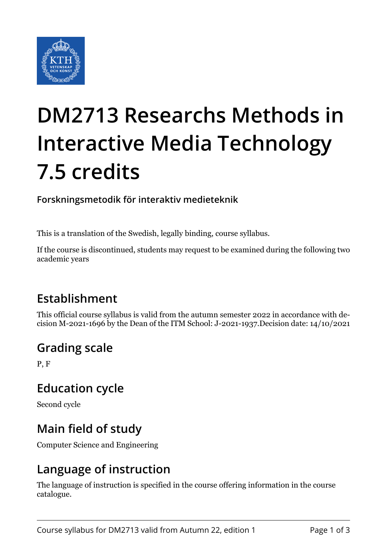

# **DM2713 Researchs Methods in Interactive Media Technology 7.5 credits**

#### **Forskningsmetodik för interaktiv medieteknik**

This is a translation of the Swedish, legally binding, course syllabus.

If the course is discontinued, students may request to be examined during the following two academic years

### **Establishment**

This official course syllabus is valid from the autumn semester 2022 in accordance with decision M-2021-1696 by the Dean of the ITM School: J-2021-1937.Decision date: 14/10/2021

#### **Grading scale**

P, F

#### **Education cycle**

Second cycle

### **Main field of study**

Computer Science and Engineering

### **Language of instruction**

The language of instruction is specified in the course offering information in the course catalogue.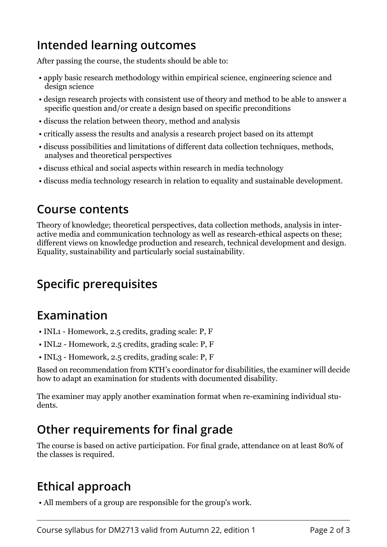### **Intended learning outcomes**

After passing the course, the students should be able to:

- apply basic research methodology within empirical science, engineering science and design science
- design research projects with consistent use of theory and method to be able to answer a specific question and/or create a design based on specific preconditions
- discuss the relation between theory, method and analysis
- critically assess the results and analysis a research project based on its attempt
- discuss possibilities and limitations of different data collection techniques, methods, analyses and theoretical perspectives
- discuss ethical and social aspects within research in media technology
- discuss media technology research in relation to equality and sustainable development.

#### **Course contents**

Theory of knowledge; theoretical perspectives, data collection methods, analysis in interactive media and communication technology as well as research-ethical aspects on these; different views on knowledge production and research, technical development and design. Equality, sustainability and particularly social sustainability.

# **Specific prerequisites**

### **Examination**

- INL1 Homework, 2.5 credits, grading scale: P, F
- INL2 Homework, 2.5 credits, grading scale: P, F
- INL3 Homework, 2.5 credits, grading scale: P, F

Based on recommendation from KTH's coordinator for disabilities, the examiner will decide how to adapt an examination for students with documented disability.

The examiner may apply another examination format when re-examining individual students.

# **Other requirements for final grade**

The course is based on active participation. For final grade, attendance on at least 80% of the classes is required.

# **Ethical approach**

• All members of a group are responsible for the group's work.